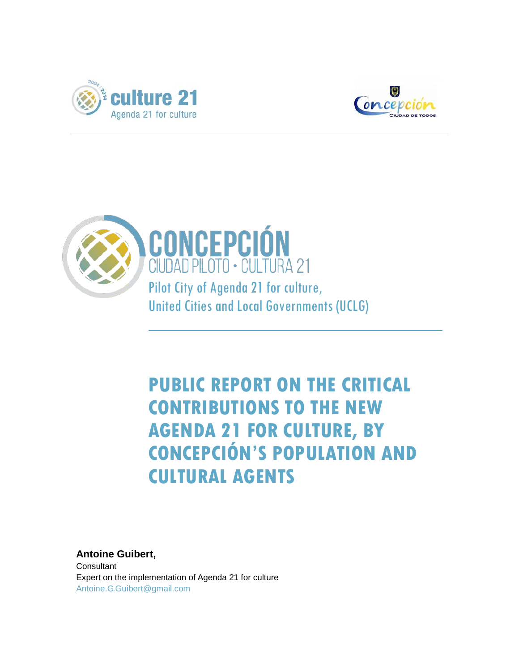





## **PUBLIC REPORT ON THE CRITICAL CONTRIBUTIONS TO THE NEW AGENDA 21 FOR CULTURE, BY CONCEPCIÓN'S POPULATION AND CULTURAL AGENTS**

**Antoine Guibert, Consultant** Expert on the implementation of Agenda 21 for culture [Antoine.G.Guibert@gmail.com](mailto:Antoine.G.Guibert@gmail.com)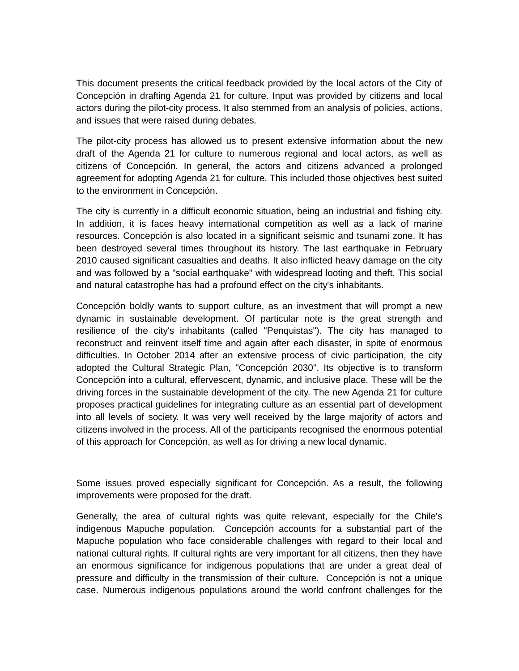This document presents the critical feedback provided by the local actors of the City of Concepción in drafting Agenda 21 for culture. Input was provided by citizens and local actors during the pilot-city process. It also stemmed from an analysis of policies, actions, and issues that were raised during debates.

The pilot-city process has allowed us to present extensive information about the new draft of the Agenda 21 for culture to numerous regional and local actors, as well as citizens of Concepción. In general, the actors and citizens advanced a prolonged agreement for adopting Agenda 21 for culture. This included those objectives best suited to the environment in Concepción.

The city is currently in a difficult economic situation, being an industrial and fishing city. In addition, it is faces heavy international competition as well as a lack of marine resources. Concepción is also located in a significant seismic and tsunami zone. It has been destroyed several times throughout its history. The last earthquake in February 2010 caused significant casualties and deaths. It also inflicted heavy damage on the city and was followed by a "social earthquake" with widespread looting and theft. This social and natural catastrophe has had a profound effect on the city's inhabitants.

Concepción boldly wants to support culture, as an investment that will prompt a new dynamic in sustainable development. Of particular note is the great strength and resilience of the city's inhabitants (called "Penquistas"). The city has managed to reconstruct and reinvent itself time and again after each disaster, in spite of enormous difficulties. In October 2014 after an extensive process of civic participation, the city adopted the Cultural Strategic Plan, "Concepción 2030". Its objective is to transform Concepción into a cultural, effervescent, dynamic, and inclusive place. These will be the driving forces in the sustainable development of the city. The new Agenda 21 for culture proposes practical guidelines for integrating culture as an essential part of development into all levels of society. It was very well received by the large majority of actors and citizens involved in the process. All of the participants recognised the enormous potential of this approach for Concepción, as well as for driving a new local dynamic.

Some issues proved especially significant for Concepción. As a result, the following improvements were proposed for the draft.

Generally, the area of cultural rights was quite relevant, especially for the Chile's indigenous Mapuche population. Concepción accounts for a substantial part of the Mapuche population who face considerable challenges with regard to their local and national cultural rights. If cultural rights are very important for all citizens, then they have an enormous significance for indigenous populations that are under a great deal of pressure and difficulty in the transmission of their culture. Concepción is not a unique case. Numerous indigenous populations around the world confront challenges for the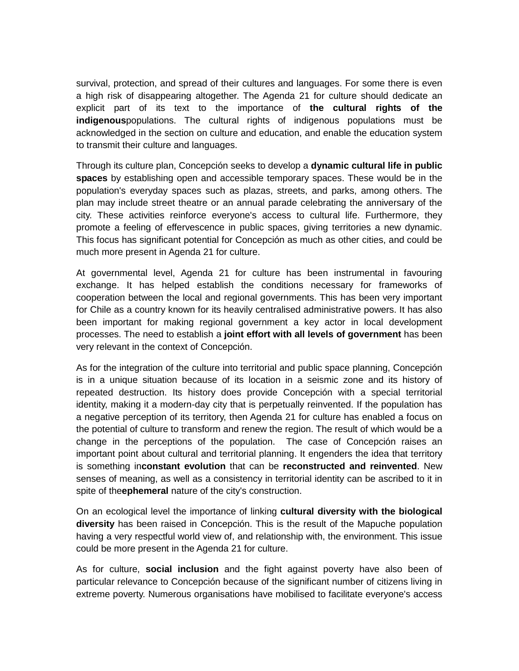survival, protection, and spread of their cultures and languages. For some there is even a high risk of disappearing altogether. The Agenda 21 for culture should dedicate an explicit part of its text to the importance of **the cultural rights of the indigenous**populations. The cultural rights of indigenous populations must be acknowledged in the section on culture and education, and enable the education system to transmit their culture and languages.

Through its culture plan, Concepción seeks to develop a **dynamic cultural life in public spaces** by establishing open and accessible temporary spaces. These would be in the population's everyday spaces such as plazas, streets, and parks, among others. The plan may include street theatre or an annual parade celebrating the anniversary of the city. These activities reinforce everyone's access to cultural life. Furthermore, they promote a feeling of effervescence in public spaces, giving territories a new dynamic. This focus has significant potential for Concepción as much as other cities, and could be much more present in Agenda 21 for culture.

At governmental level, Agenda 21 for culture has been instrumental in favouring exchange. It has helped establish the conditions necessary for frameworks of cooperation between the local and regional governments. This has been very important for Chile as a country known for its heavily centralised administrative powers. It has also been important for making regional government a key actor in local development processes. The need to establish a **joint effort with all levels of government** has been very relevant in the context of Concepción.

As for the integration of the culture into territorial and public space planning, Concepción is in a unique situation because of its location in a seismic zone and its history of repeated destruction. Its history does provide Concepción with a special territorial identity, making it a modern-day city that is perpetually reinvented. If the population has a negative perception of its territory, then Agenda 21 for culture has enabled a focus on the potential of culture to transform and renew the region. The result of which would be a change in the perceptions of the population. The case of Concepción raises an important point about cultural and territorial planning. It engenders the idea that territory is something in**constant evolution** that can be **reconstructed and reinvented**. New senses of meaning, as well as a consistency in territorial identity can be ascribed to it in spite of the**ephemeral** nature of the city's construction.

On an ecological level the importance of linking **cultural diversity with the biological diversity** has been raised in Concepción. This is the result of the Mapuche population having a very respectful world view of, and relationship with, the environment. This issue could be more present in the Agenda 21 for culture.

As for culture, **social inclusion** and the fight against poverty have also been of particular relevance to Concepción because of the significant number of citizens living in extreme poverty. Numerous organisations have mobilised to facilitate everyone's access